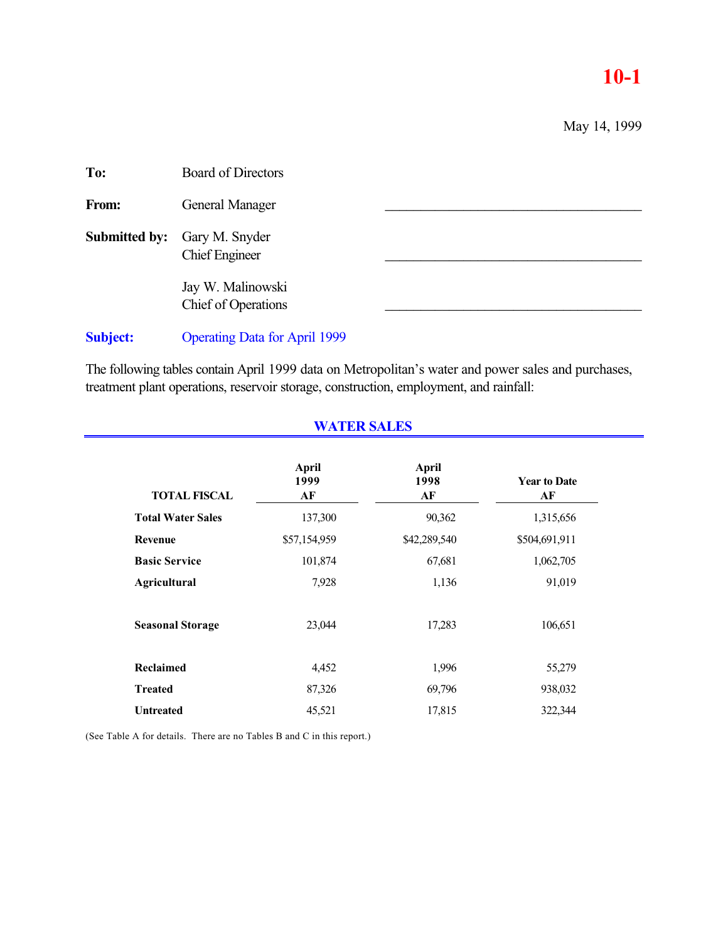# **10-1**

May 14, 1999

| To:             | <b>Board of Directors</b>                |  |
|-----------------|------------------------------------------|--|
| From:           | General Manager                          |  |
| Submitted by:   | Gary M. Snyder<br><b>Chief Engineer</b>  |  |
|                 | Jay W. Malinowski<br>Chief of Operations |  |
| <b>Subject:</b> | <b>Operating Data for April 1999</b>     |  |

The following tables contain April 1999 data on Metropolitan's water and power sales and purchases, treatment plant operations, reservoir storage, construction, employment, and rainfall:

|                          | <b>April</b><br>1999 | <b>April</b><br>1998 | <b>Year to Date</b> |
|--------------------------|----------------------|----------------------|---------------------|
| <b>TOTAL FISCAL</b>      | AF                   | AF                   | AF                  |
| <b>Total Water Sales</b> | 137,300              | 90,362               | 1,315,656           |
| Revenue                  | \$57,154,959         | \$42,289,540         | \$504,691,911       |
| <b>Basic Service</b>     | 101,874              | 67,681               | 1,062,705           |
| <b>Agricultural</b>      | 7,928                | 1,136                | 91,019              |
| <b>Seasonal Storage</b>  | 23,044               | 17,283               | 106,651             |
| Reclaimed                | 4,452                | 1,996                | 55,279              |
| <b>Treated</b>           | 87,326               | 69,796               | 938,032             |
| <b>Untreated</b>         | 45,521               | 17,815               | 322,344             |

**WATER SALES**

(See Table A for details. There are no Tables B and C in this report.)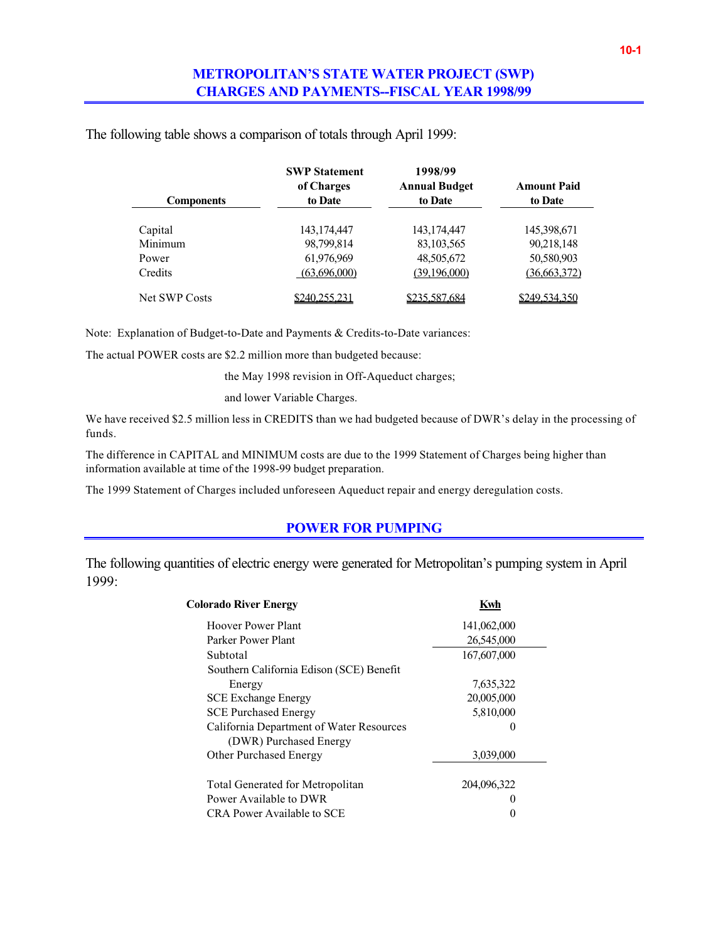# **METROPOLITAN'S STATE WATER PROJECT (SWP) CHARGES AND PAYMENTS--FISCAL YEAR 1998/99**

|  |  | The following table shows a comparison of totals through April 1999: |  |  |
|--|--|----------------------------------------------------------------------|--|--|
|  |  |                                                                      |  |  |

|                      | <b>SWP Statement</b><br>of Charges | 1998/99<br><b>Annual Budget</b> | <b>Amount Paid</b> |
|----------------------|------------------------------------|---------------------------------|--------------------|
| <b>Components</b>    | to Date                            | to Date                         | to Date            |
| Capital              | 143, 174, 447                      | 143, 174, 447                   | 145,398,671        |
| Minimum              | 98,799,814                         | 83, 103, 565                    | 90,218,148         |
| Power                | 61,976,969                         | 48,505,672                      | 50,580,903         |
| Credits              | (63,696,000)                       | (39,196,000)                    | (36, 663, 372)     |
| <b>Net SWP Costs</b> | \$240.255.231                      | \$235,587,684                   | \$249.534.350      |

Note: Explanation of Budget-to-Date and Payments & Credits-to-Date variances:

The actual POWER costs are \$2.2 million more than budgeted because:

the May 1998 revision in Off-Aqueduct charges;

and lower Variable Charges.

We have received \$2.5 million less in CREDITS than we had budgeted because of DWR's delay in the processing of funds.

The difference in CAPITAL and MINIMUM costs are due to the 1999 Statement of Charges being higher than information available at time of the 1998-99 budget preparation.

The 1999 Statement of Charges included unforeseen Aqueduct repair and energy deregulation costs.

#### **POWER FOR PUMPING**

The following quantities of electric energy were generated for Metropolitan's pumping system in April 1999:

| <b>Colorado River Energy</b>             | Kwh         |
|------------------------------------------|-------------|
| Hoover Power Plant                       | 141,062,000 |
| Parker Power Plant                       | 26,545,000  |
| Subtotal                                 | 167,607,000 |
| Southern California Edison (SCE) Benefit |             |
| Energy                                   | 7,635,322   |
| <b>SCE Exchange Energy</b>               | 20,005,000  |
| <b>SCE Purchased Energy</b>              | 5,810,000   |
| California Department of Water Resources |             |
| (DWR) Purchased Energy                   |             |
| <b>Other Purchased Energy</b>            | 3,039,000   |
|                                          |             |
| <b>Total Generated for Metropolitan</b>  | 204,096,322 |
| Power Available to DWR                   |             |
| CRA Power Available to SCE               |             |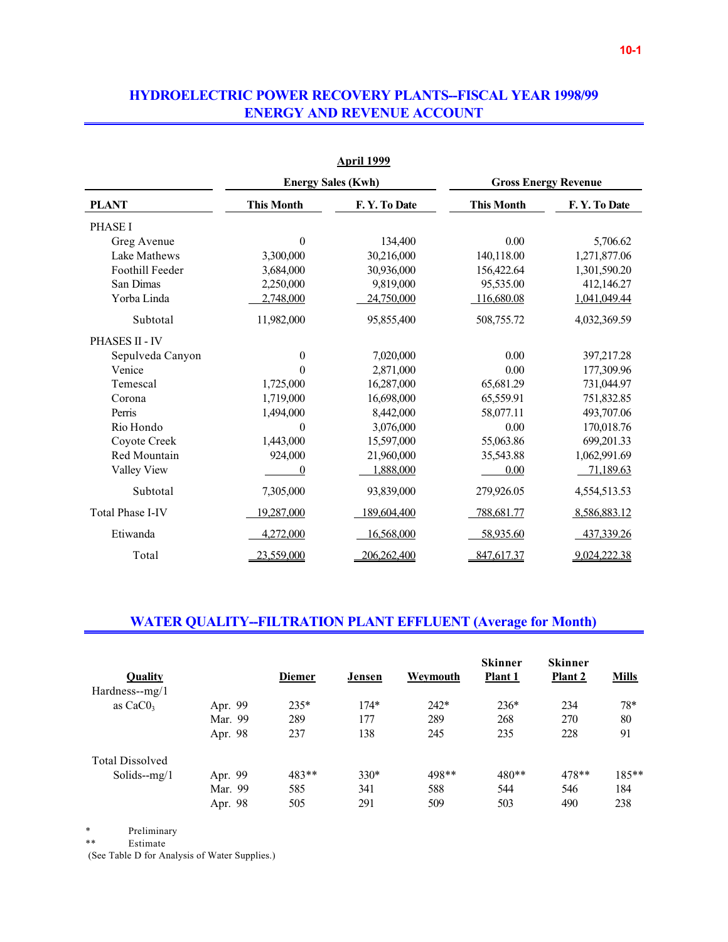## **HYDROELECTRIC POWER RECOVERY PLANTS--FISCAL YEAR 1998/99 ENERGY AND REVENUE ACCOUNT**

|                         |                   | <b>April 1999</b>         |                             |              |  |
|-------------------------|-------------------|---------------------------|-----------------------------|--------------|--|
|                         |                   | <b>Energy Sales (Kwh)</b> | <b>Gross Energy Revenue</b> |              |  |
| <b>PLANT</b>            | <b>This Month</b> | F.Y. To Date              | <b>This Month</b>           | F.Y. To Date |  |
| <b>PHASE I</b>          |                   |                           |                             |              |  |
| Greg Avenue             | $\overline{0}$    | 134,400                   | 0.00                        | 5,706.62     |  |
| Lake Mathews            | 3,300,000         | 30,216,000                | 140,118.00                  | 1,271,877.06 |  |
| Foothill Feeder         | 3,684,000         | 30,936,000                | 156,422.64                  | 1,301,590.20 |  |
| San Dimas               | 2,250,000         | 9,819,000                 | 95,535.00                   | 412,146.27   |  |
| Yorba Linda             | 2,748,000         | 24,750,000                | 116,680.08                  | 1,041,049.44 |  |
| Subtotal                | 11,982,000        | 95,855,400                | 508,755.72                  | 4,032,369.59 |  |
| PHASES II - IV          |                   |                           |                             |              |  |
| Sepulveda Canyon        | $\overline{0}$    | 7,020,000                 | 0.00                        | 397,217.28   |  |
| Venice                  | 0                 | 2,871,000                 | 0.00                        | 177,309.96   |  |
| Temescal                | 1,725,000         | 16,287,000                | 65,681.29                   | 731,044.97   |  |
| Corona                  | 1,719,000         | 16,698,000                | 65,559.91                   | 751,832.85   |  |
| Perris                  | 1,494,000         | 8,442,000                 | 58,077.11                   | 493,707.06   |  |
| Rio Hondo               | 0                 | 3,076,000                 | 0.00                        | 170,018.76   |  |
| Coyote Creek            | 1,443,000         | 15,597,000                | 55,063.86                   | 699,201.33   |  |
| Red Mountain            | 924,000           | 21,960,000                | 35,543.88                   | 1,062,991.69 |  |
| Valley View             | 0                 | 1,888,000                 | 0.00                        | 71,189.63    |  |
| Subtotal                | 7,305,000         | 93,839,000                | 279,926.05                  | 4,554,513.53 |  |
| <b>Total Phase I-IV</b> | 19,287,000        | 189,604,400               | 788,681.77                  | 8,586,883.12 |  |
| Etiwanda                | 4,272,000         | 16,568,000                | 58,935.60                   | 437,339.26   |  |
| Total                   | 23,559,000        | 206,262,400               | 847,617.37                  | 9,024,222.38 |  |

## **WATER QUALITY--FILTRATION PLANT EFFLUENT (Average for Month)**

| <b>Quality</b><br>$Hardness-mg/1$ |         | <b>Diemer</b> | Jensen | Weymouth | <b>Skinner</b><br>Plant 1 | <b>Skinner</b><br><b>Plant 2</b> | <b>Mills</b> |
|-----------------------------------|---------|---------------|--------|----------|---------------------------|----------------------------------|--------------|
| as $CaCO3$                        | Apr. 99 | $235*$        | $174*$ | $242*$   | $236*$                    | 234                              | 78*          |
|                                   |         |               |        |          |                           |                                  |              |
|                                   | Mar. 99 | 289           | 177    | 289      | 268                       | 270                              | 80           |
|                                   | Apr. 98 | 237           | 138    | 245      | 235                       | 228                              | 91           |
| <b>Total Dissolved</b>            |         |               |        |          |                           |                                  |              |
| Solids- $mg/1$                    | Apr. 99 | 483**         | $330*$ | 498**    | 480**                     | 478**                            | $185**$      |
|                                   | Mar. 99 | 585           | 341    | 588      | 544                       | 546                              | 184          |
|                                   | Apr. 98 | 505           | 291    | 509      | 503                       | 490                              | 238          |

\* Preliminary<br>\*\* Estimate

 ${\bf Estimate}$ 

(See Table D for Analysis of Water Supplies.)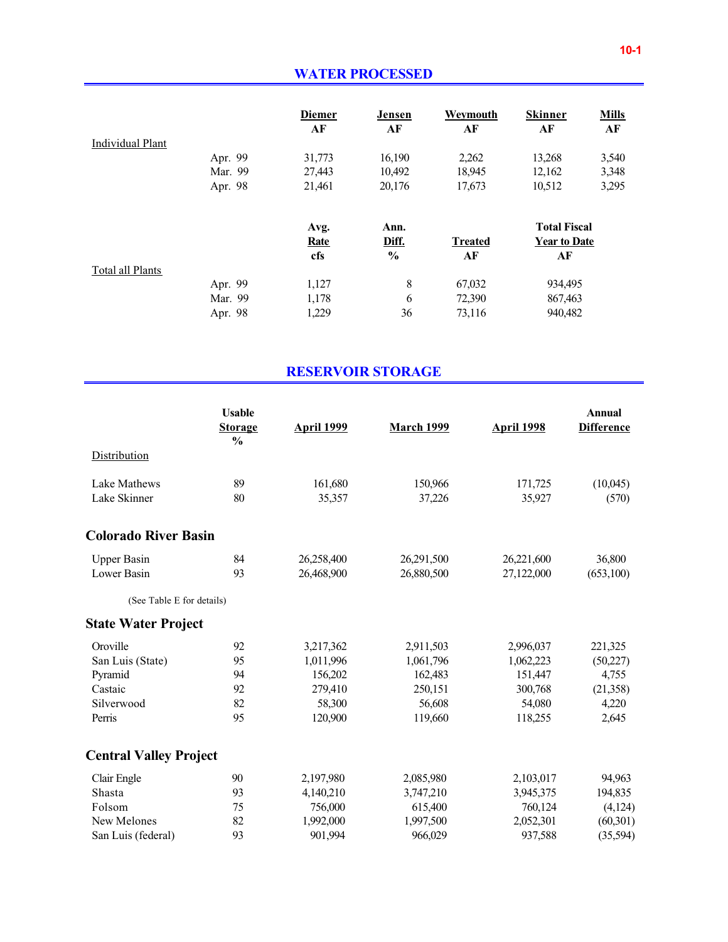|                         |         | <b>Diemer</b><br>AF | Jensen<br>AF  | Weymouth<br>AF | <b>Skinner</b><br>AF | <b>Mills</b><br>AF |
|-------------------------|---------|---------------------|---------------|----------------|----------------------|--------------------|
| <b>Individual Plant</b> |         |                     |               |                |                      |                    |
|                         | Apr. 99 | 31,773              | 16,190        | 2,262          | 13,268               | 3,540              |
|                         | Mar. 99 | 27,443              | 10,492        | 18,945         | 12,162               | 3,348              |
|                         | Apr. 98 | 21,461              | 20,176        | 17,673         | 10,512               | 3,295              |
|                         |         | Avg.                | Ann.          |                | <b>Total Fiscal</b>  |                    |
|                         |         | <b>Rate</b>         | Diff.         | <b>Treated</b> | <b>Year to Date</b>  |                    |
|                         |         | cfs                 | $\frac{0}{0}$ | AF             | AF                   |                    |
| Total all Plants        |         |                     |               |                |                      |                    |
|                         | Apr. 99 | 1,127               | 8             | 67,032         | 934,495              |                    |
|                         | Mar. 99 | 1,178               | 6             | 72,390         | 867,463              |                    |
|                         | Apr. 98 | 1,229               | 36            | 73,116         | 940,482              |                    |

# **RESERVOIR STORAGE**

|                               | <b>Usable</b><br><b>Storage</b><br>$\frac{0}{0}$ | <b>April 1999</b> | <b>March 1999</b> | <b>April 1998</b> | <b>Annual</b><br><b>Difference</b> |
|-------------------------------|--------------------------------------------------|-------------------|-------------------|-------------------|------------------------------------|
| Distribution                  |                                                  |                   |                   |                   |                                    |
| Lake Mathews                  | 89                                               | 161,680           | 150,966           | 171,725           | (10,045)                           |
| Lake Skinner                  | 80                                               | 35,357            | 37,226            | 35,927            | (570)                              |
| <b>Colorado River Basin</b>   |                                                  |                   |                   |                   |                                    |
| <b>Upper Basin</b>            | 84                                               | 26,258,400        | 26,291,500        | 26,221,600        | 36,800                             |
| Lower Basin                   | 93                                               | 26,468,900        | 26,880,500        | 27,122,000        | (653,100)                          |
| (See Table E for details)     |                                                  |                   |                   |                   |                                    |
| <b>State Water Project</b>    |                                                  |                   |                   |                   |                                    |
| Oroville                      | 92                                               | 3,217,362         | 2,911,503         | 2,996,037         | 221,325                            |
| San Luis (State)              | 95                                               | 1,011,996         | 1,061,796         | 1,062,223         | (50, 227)                          |
| Pyramid                       | 94                                               | 156,202           | 162,483           | 151,447           | 4,755                              |
| Castaic                       | 92                                               | 279,410           | 250,151           | 300,768           | (21, 358)                          |
| Silverwood                    | 82                                               | 58,300            | 56,608            | 54,080            | 4,220                              |
| Perris                        | 95                                               | 120,900           | 119,660           | 118,255           | 2,645                              |
| <b>Central Valley Project</b> |                                                  |                   |                   |                   |                                    |
| Clair Engle                   | 90                                               | 2,197,980         | 2,085,980         | 2,103,017         | 94,963                             |
| Shasta                        | 93                                               | 4,140,210         | 3,747,210         | 3,945,375         | 194,835                            |
| Folsom                        | 75                                               | 756,000           | 615,400           | 760,124           | (4, 124)                           |
| New Melones                   | 82                                               | 1,992,000         | 1,997,500         | 2,052,301         | (60, 301)                          |
| San Luis (federal)            | 93                                               | 901,994           | 966,029           | 937,588           | (35, 594)                          |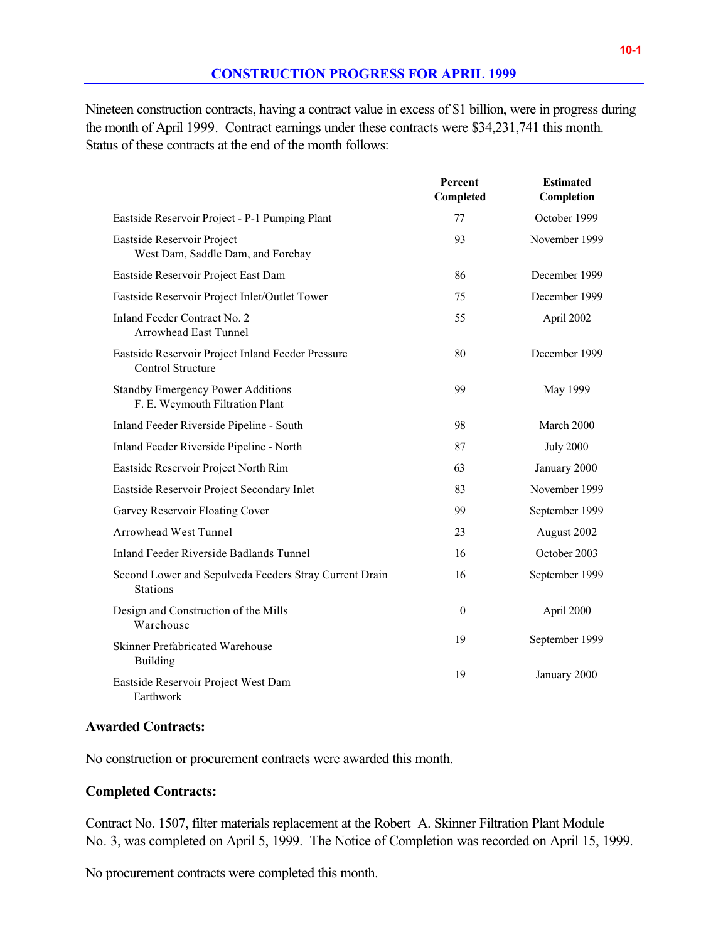Nineteen construction contracts, having a contract value in excess of \$1 billion, were in progress during the month of April 1999. Contract earnings under these contracts were \$34,231,741 this month. Status of these contracts at the end of the month follows:

|                                                                             | Percent<br>Completed | <b>Estimated</b><br><b>Completion</b> |
|-----------------------------------------------------------------------------|----------------------|---------------------------------------|
| Eastside Reservoir Project - P-1 Pumping Plant                              | 77                   | October 1999                          |
| Eastside Reservoir Project<br>West Dam, Saddle Dam, and Forebay             | 93                   | November 1999                         |
| Eastside Reservoir Project East Dam                                         | 86                   | December 1999                         |
| Eastside Reservoir Project Inlet/Outlet Tower                               | 75                   | December 1999                         |
| Inland Feeder Contract No. 2<br>Arrowhead East Tunnel                       | 55                   | April 2002                            |
| Eastside Reservoir Project Inland Feeder Pressure<br>Control Structure      | 80                   | December 1999                         |
| <b>Standby Emergency Power Additions</b><br>F. E. Weymouth Filtration Plant | 99                   | May 1999                              |
| Inland Feeder Riverside Pipeline - South                                    | 98                   | March 2000                            |
| Inland Feeder Riverside Pipeline - North                                    | 87                   | <b>July 2000</b>                      |
| Eastside Reservoir Project North Rim                                        | 63                   | January 2000                          |
| Eastside Reservoir Project Secondary Inlet                                  | 83                   | November 1999                         |
| Garvey Reservoir Floating Cover                                             | 99                   | September 1999                        |
| Arrowhead West Tunnel                                                       | 23                   | August 2002                           |
| Inland Feeder Riverside Badlands Tunnel                                     | 16                   | October 2003                          |
| Second Lower and Sepulveda Feeders Stray Current Drain<br><b>Stations</b>   | 16                   | September 1999                        |
| Design and Construction of the Mills<br>Warehouse                           | $\theta$             | April 2000                            |
| Skinner Prefabricated Warehouse<br>Building                                 | 19                   | September 1999                        |
| Eastside Reservoir Project West Dam<br>Earthwork                            | 19                   | January 2000                          |

#### **Awarded Contracts:**

No construction or procurement contracts were awarded this month.

#### **Completed Contracts:**

Contract No. 1507, filter materials replacement at the Robert A. Skinner Filtration Plant Module No. 3, was completed on April 5, 1999. The Notice of Completion was recorded on April 15, 1999.

No procurement contracts were completed this month.